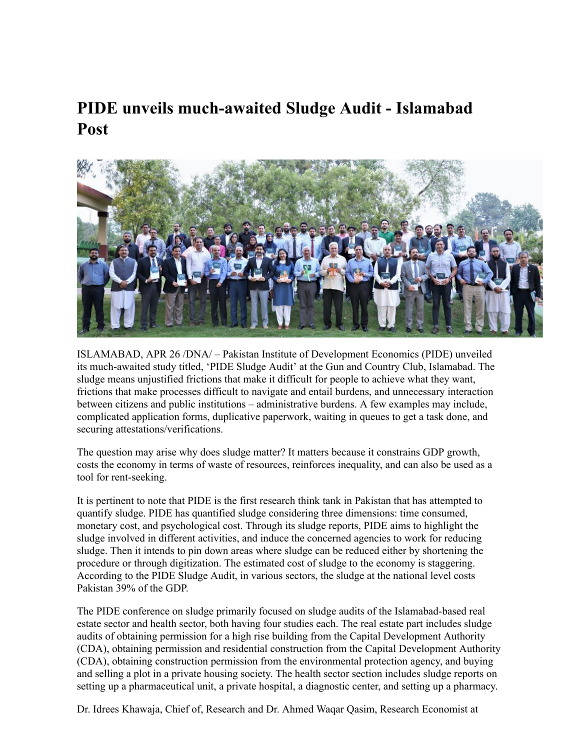## **PIDE unveils much-awaited Sludge Audit - Islamabad Post**



ISLAMABAD, APR 26 /DNA/ – Pakistan Institute of Development Economics (PIDE) unveiled its much-awaited study titled, 'PIDE Sludge Audit' at the Gun and Country Club, Islamabad. The sludge means unjustified frictions that make it difficult for people to achieve what they want, frictions that make processes difficult to navigate and entail burdens, and unnecessary interaction between citizens and public institutions – administrative burdens. A few examples may include, complicated application forms, duplicative paperwork, waiting in queues to get a task done, and securing attestations/verifications.

The question may arise why does sludge matter? It matters because it constrains GDP growth, costs the economy in terms of waste of resources, reinforces inequality, and can also be used as a tool for rent-seeking.

It is pertinent to note that PIDE is the first research think tank in Pakistan that has attempted to quantify sludge. PIDE has quantified sludge considering three dimensions: time consumed, monetary cost, and psychological cost. Through its sludge reports, PIDE aims to highlight the sludge involved in different activities, and induce the concerned agencies to work for reducing sludge. Then it intends to pin down areas where sludge can be reduced either by shortening the procedure or through digitization. The estimated cost of sludge to the economy is staggering. According to the PIDE Sludge Audit, in various sectors, the sludge at the national level costs Pakistan 39% of the GDP.

The PIDE conference on sludge primarily focused on sludge audits of the Islamabad-based real estate sector and health sector, both having four studies each. The real estate part includes sludge audits of obtaining permission for a high rise building from the Capital Development Authority (CDA), obtaining permission and residential construction from the Capital Development Authority (CDA), obtaining construction permission from the environmental protection agency, and buying and selling a plot in a private housing society. The health sector section includes sludge reports on setting up a pharmaceutical unit, a private hospital, a diagnostic center, and setting up a pharmacy.

Dr. Idrees Khawaja, Chief of, Research and Dr. Ahmed Waqar Qasim, Research Economist at